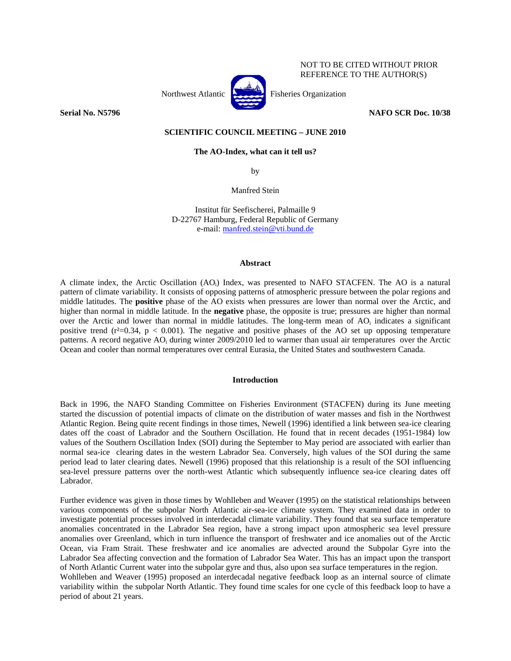



NOT TO BE CITED WITHOUT PRIOR REFERENCE TO THE AUTHOR(S)

**Serial No. N5796** NAFO SCR Doc. 10/38

# **SCIENTIFIC COUNCIL MEETING – JUNE 2010**

# **The AO-Index, what can it tell us?**

by

Manfred Stein

Institut für Seefischerei, Palmaille 9 D-22767 Hamburg, Federal Republic of Germany e-mail: manfred.stein@vti.bund.de

### **Abstract**

A climate index, the Arctic Oscillation (AOi) Index, was presented to NAFO STACFEN. The AO is a natural pattern of climate variability. It consists of opposing patterns of atmospheric pressure between the polar regions and middle latitudes. The **positive** phase of the AO exists when pressures are lower than normal over the Arctic, and higher than normal in middle latitude. In the **negative** phase, the opposite is true; pressures are higher than normal over the Arctic and lower than normal in middle latitudes. The long-term mean of AO<sub>i</sub> indicates a significant positive trend ( $r^2=0.34$ ,  $p < 0.001$ ). The negative and positive phases of the AO set up opposing temperature patterns. A record negative AO<sub>i</sub> during winter 2009/2010 led to warmer than usual air temperatures over the Arctic Ocean and cooler than normal temperatures over central Eurasia, the United States and southwestern Canada.

### **Introduction**

Back in 1996, the NAFO Standing Committee on Fisheries Environment (STACFEN) during its June meeting started the discussion of potential impacts of climate on the distribution of water masses and fish in the Northwest Atlantic Region. Being quite recent findings in those times, Newell (1996) identified a link between sea-ice clearing dates off the coast of Labrador and the Southern Oscillation. He found that in recent decades (1951-1984) low values of the Southern Oscillation Index (SOI) during the September to May period are associated with earlier than normal sea-ice clearing dates in the western Labrador Sea. Conversely, high values of the SOI during the same period lead to later clearing dates. Newell (1996) proposed that this relationship is a result of the SOI influencing sea-level pressure patterns over the north-west Atlantic which subsequently influence sea-ice clearing dates off Labrador.

Further evidence was given in those times by Wohlleben and Weaver (1995) on the statistical relationships between various components of the subpolar North Atlantic air-sea-ice climate system. They examined data in order to investigate potential processes involved in interdecadal climate variability. They found that sea surface temperature anomalies concentrated in the Labrador Sea region, have a strong impact upon atmospheric sea level pressure anomalies over Greenland, which in turn influence the transport of freshwater and ice anomalies out of the Arctic Ocean, via Fram Strait. These freshwater and ice anomalies are advected around the Subpolar Gyre into the Labrador Sea affecting convection and the formation of Labrador Sea Water. This has an impact upon the transport of North Atlantic Current water into the subpolar gyre and thus, also upon sea surface temperatures in the region. Wohlleben and Weaver (1995) proposed an interdecadal negative feedback loop as an internal source of climate variability within the subpolar North Atlantic. They found time scales for one cycle of this feedback loop to have a period of about 21 years.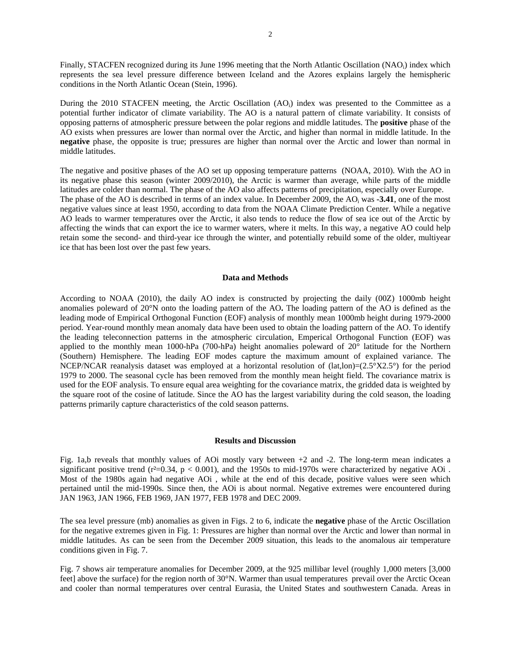Finally, STACFEN recognized during its June 1996 meeting that the North Atlantic Oscillation (NAO<sub>i</sub>) index which represents the sea level pressure difference between Iceland and the Azores explains largely the hemispheric conditions in the North Atlantic Ocean (Stein, 1996).

During the 2010 STACFEN meeting, the Arctic Oscillation (AO<sub>i</sub>) index was presented to the Committee as a potential further indicator of climate variability. The AO is a natural pattern of climate variability. It consists of opposing patterns of atmospheric pressure between the polar regions and middle latitudes. The **positive** phase of the AO exists when pressures are lower than normal over the Arctic, and higher than normal in middle latitude. In the **negative** phase, the opposite is true; pressures are higher than normal over the Arctic and lower than normal in middle latitudes.

The negative and positive phases of the AO set up opposing temperature patterns (NOAA, 2010). With the AO in its negative phase this season (winter 2009/2010), the Arctic is warmer than average, while parts of the middle latitudes are colder than normal. The phase of the AO also affects patterns of precipitation, especially over Europe. The phase of the AO is described in terms of an index value. In December 2009, the AOi was **-3.41**, one of the most negative values since at least 1950, according to data from the NOAA Climate Prediction Center. While a negative AO leads to warmer temperatures over the Arctic, it also tends to reduce the flow of sea ice out of the Arctic by affecting the winds that can export the ice to warmer waters, where it melts. In this way, a negative AO could help retain some the second- and third-year ice through the winter, and potentially rebuild some of the older, multiyear ice that has been lost over the past few years.

#### **Data and Methods**

According to NOAA (2010), the daily AO index is constructed by projecting the daily (00Z) 1000mb height anomalies poleward of 20°N onto the loading pattern of the AO**.** The loading pattern of the AO is defined as the leading mode of Empirical Orthogonal Function (EOF) analysis of monthly mean 1000mb height during 1979-2000 period. Year-round monthly mean anomaly data have been used to obtain the loading pattern of the AO. To identify the leading teleconnection patterns in the atmospheric circulation, Emperical Orthogonal Function (EOF) was applied to the monthly mean 1000-hPa (700-hPa) height anomalies poleward of 20° latitude for the Northern (Southern) Hemisphere. The leading EOF modes capture the maximum amount of explained variance. The NCEP/NCAR reanalysis dataset was employed at a horizontal resolution of  $(lat,lon)=(2.5°X2.5°)$  for the period 1979 to 2000. The seasonal cycle has been removed from the monthly mean height field. The covariance matrix is used for the EOF analysis. To ensure equal area weighting for the covariance matrix, the gridded data is weighted by the square root of the cosine of latitude. Since the AO has the largest variability during the cold season, the loading patterns primarily capture characteristics of the cold season patterns.

#### **Results and Discussion**

Fig. 1a,b reveals that monthly values of AOi mostly vary between  $+2$  and  $-2$ . The long-term mean indicates a significant positive trend ( $r^2$ =0.34,  $p$  < 0.001), and the 1950s to mid-1970s were characterized by negative AOi. Most of the 1980s again had negative AOi , while at the end of this decade, positive values were seen which pertained until the mid-1990s. Since then, the AOi is about normal. Negative extremes were encountered during JAN 1963, JAN 1966, FEB 1969, JAN 1977, FEB 1978 and DEC 2009.

The sea level pressure (mb) anomalies as given in Figs. 2 to 6, indicate the **negative** phase of the Arctic Oscillation for the negative extremes given in Fig. 1: Pressures are higher than normal over the Arctic and lower than normal in middle latitudes. As can be seen from the December 2009 situation, this leads to the anomalous air temperature conditions given in Fig. 7.

Fig. 7 shows air temperature anomalies for December 2009, at the 925 millibar level (roughly 1,000 meters [3,000 feet] above the surface) for the region north of 30°N. Warmer than usual temperatures prevail over the Arctic Ocean and cooler than normal temperatures over central Eurasia, the United States and southwestern Canada. Areas in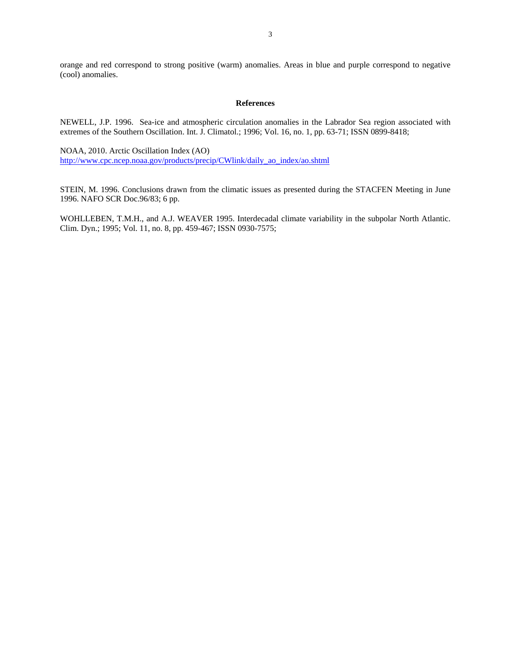orange and red correspond to strong positive (warm) anomalies. Areas in blue and purple correspond to negative (cool) anomalies.

## **References**

NEWELL, J.P. 1996. Sea-ice and atmospheric circulation anomalies in the Labrador Sea region associated with extremes of the Southern Oscillation. Int. J. Climatol.; 1996; Vol. 16, no. 1, pp. 63-71; ISSN 0899-8418;

NOAA, 2010. Arctic Oscillation Index (AO) http://www.cpc.ncep.noaa.gov/products/precip/CWlink/daily\_ao\_index/ao.shtml

STEIN, M. 1996. Conclusions drawn from the climatic issues as presented during the STACFEN Meeting in June 1996. NAFO SCR Doc.96/83; 6 pp.

WOHLLEBEN, T.M.H., and A.J. WEAVER 1995. Interdecadal climate variability in the subpolar North Atlantic. Clim. Dyn.; 1995; Vol. 11, no. 8, pp. 459-467; ISSN 0930-7575;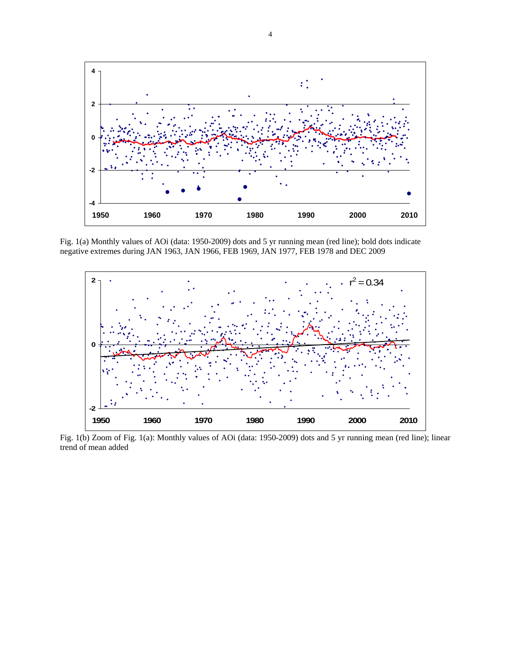

Fig. 1(a) Monthly values of AOi (data: 1950-2009) dots and 5 yr running mean (red line); bold dots indicate negative extremes during JAN 1963, JAN 1966, FEB 1969, JAN 1977, FEB 1978 and DEC 2009



Fig. 1(b) Zoom of Fig. 1(a): Monthly values of AOi (data: 1950-2009) dots and 5 yr running mean (red line); linear trend of mean added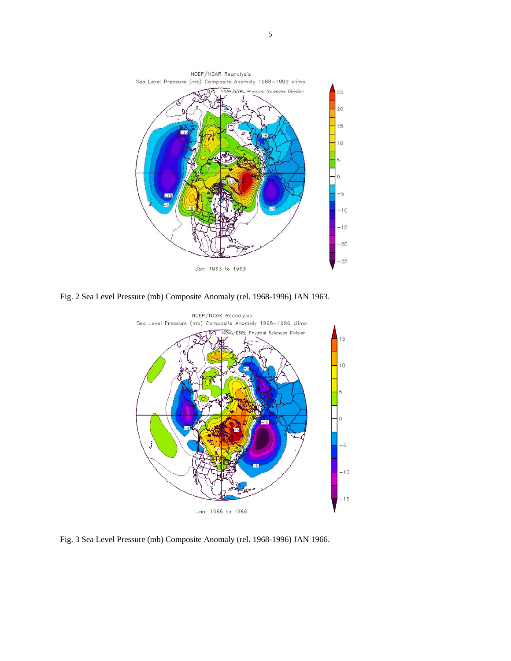

Fig. 2 Sea Level Pressure (mb) Composite Anomaly (rel. 1968-1996) JAN 1963.



Fig. 3 Sea Level Pressure (mb) Composite Anomaly (rel. 1968-1996) JAN 1966.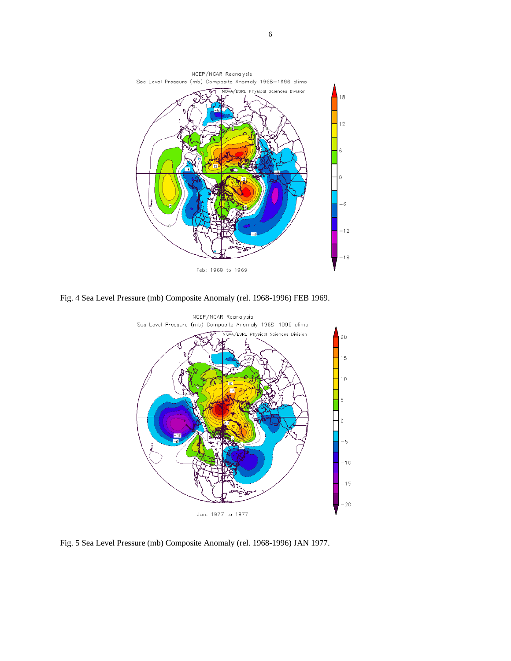

Fig. 4 Sea Level Pressure (mb) Composite Anomaly (rel. 1968-1996) FEB 1969.



Fig. 5 Sea Level Pressure (mb) Composite Anomaly (rel. 1968-1996) JAN 1977.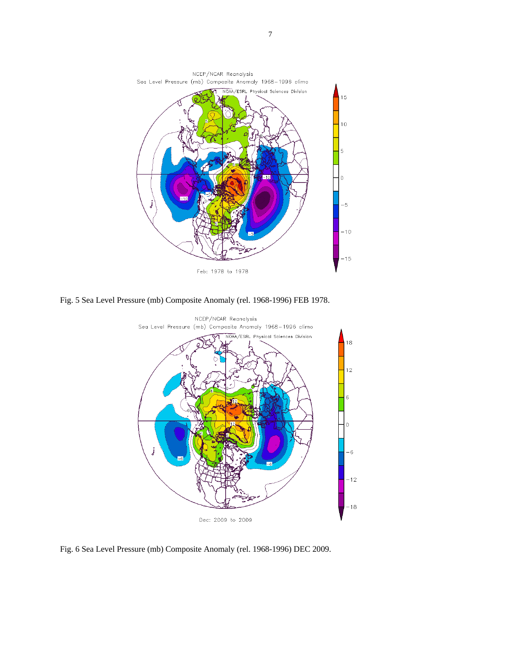

Fig. 5 Sea Level Pressure (mb) Composite Anomaly (rel. 1968-1996) FEB 1978.



Fig. 6 Sea Level Pressure (mb) Composite Anomaly (rel. 1968-1996) DEC 2009.